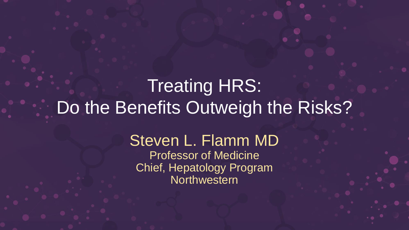## Treating HRS: Do the Benefits Outweigh the Risks?

Steven L. Flamm MD Professor of Medicine Chief, Hepatology Program **Northwestern**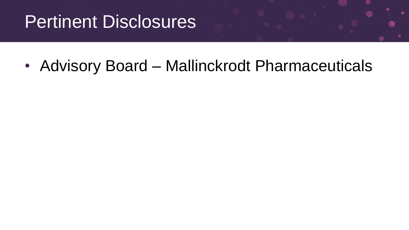## Pertinent Disclosures

• Advisory Board – Mallinckrodt Pharmaceuticals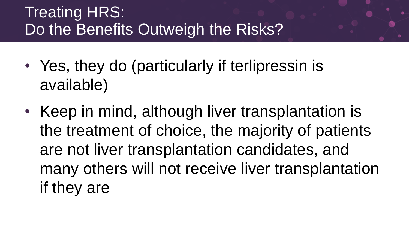### Treating HRS: Do the Benefits Outweigh the Risks?

- Yes, they do (particularly if terlipressin is available)
- Keep in mind, although liver transplantation is the treatment of choice, the majority of patients are not liver transplantation candidates, and many others will not receive liver transplantation if they are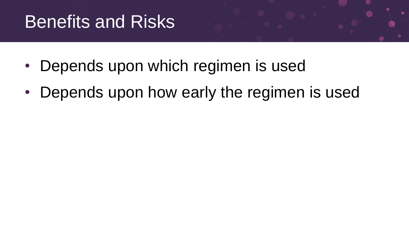## **Benefits and Risks**

- Depends upon which regimen is used
- Depends upon how early the regimen is used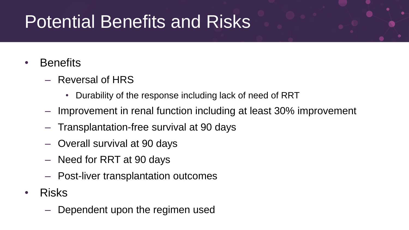## Potential Benefits and Risks

- Benefits
	- Reversal of HRS
		- Durability of the response including lack of need of RRT
	- Improvement in renal function including at least 30% improvement
	- Transplantation-free survival at 90 days
	- Overall survival at 90 days
	- Need for RRT at 90 days
	- Post-liver transplantation outcomes
- Risks
	- Dependent upon the regimen used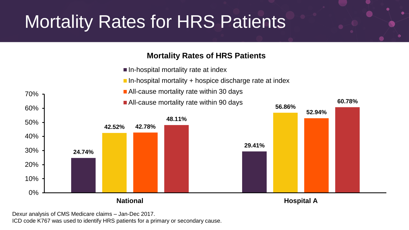# Mortality Rates for HRS Patients

#### **Mortality Rates of HRS Patients**

- $\blacksquare$  In-hospital mortality rate at index
- In-hospital mortality  $+$  hospice discharge rate at index

**60.78%**

- All-cause mortality rate within 30 days
	- All-cause mortality rate within 90 days



Dexur analysis of CMS Medicare claims – Jan-Dec 2017.

70%

ICD code K767 was used to identify HRS patients for a primary or secondary cause.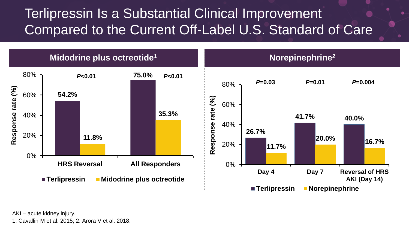### Terlipressin Is a Substantial Clinical Improvement Compared to the Current Off-Label U.S. Standard of Care



AKI – acute kidney injury.

1. Cavallin M et al. 2015; 2. Arora V et al. 2018.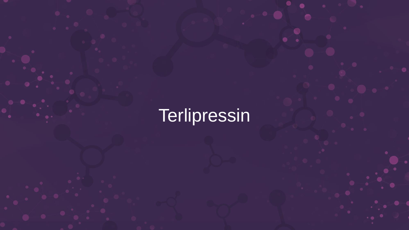# **Terlipressin**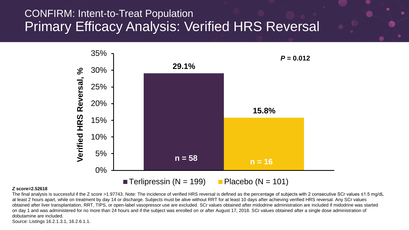#### CONFIRM: Intent-to-Treat Population Primary Efficacy Analysis: Verified HRS Reversal



#### *Z* **score=2.52618**

The final analysis is successful if the Z score >1.97743. Note: The incidence of verified HRS reversal is defined as the percentage of subjects with 2 consecutive SCr values ≤1.5 mg/dL at least 2 hours apart, while on treatment by day 14 or discharge. Subjects must be alive without RRT for at least 10 days after achieving verified HRS reversal. Any SCr values obtained after liver transplantation, RRT, TIPS, or open-label vasopressor use are excluded. SCr values obtained after midodrine administration are included if midodrine was started on day 1 and was administered for no more than 24 hours and if the subject was enrolled on or after August 17, 2018. SCr values obtained after a single dose administration of dobutamine are included.

Source: Listings 16.2.1.3.1, 16.2.6.1.1.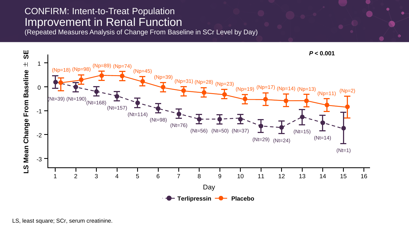#### CONFIRM: Intent-to-Treat Population Improvement in Renal Function

(Repeated Measures Analysis of Change From Baseline in SCr Level by Day)

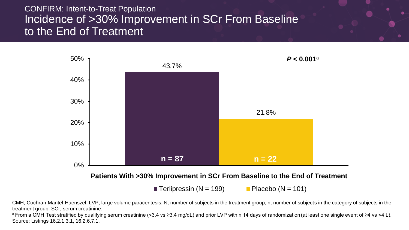#### CONFIRM: Intent-to-Treat Population Incidence of >30% Improvement in SCr From Baseline to the End of Treatment



**Terlipressin (N = 199)** Placebo (N = 101)

CMH, Cochran-Mantel-Haenszel; LVP, large volume paracentesis; N, number of subjects in the treatment group; n, number of subjects in the category of subjects in the treatment group; SCr, serum creatinine.

<sup>a</sup>From a CMH Test stratified by qualifying serum creatinine (<3.4 vs ≥3.4 mg/dL) and prior LVP within 14 days of randomization (at least one single event of ≥4 vs <4 L). Source: Listings 16.2.1.3.1, 16.2.6.7.1.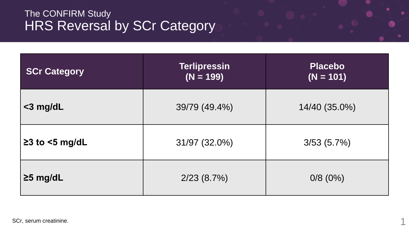#### The CONFIRM Study HRS Reversal by SCr Category

| <b>SCr Category</b>  | <b>Terlipressin</b><br>$(N = 199)$ | <b>Placebo</b><br>$(N = 101)$ |
|----------------------|------------------------------------|-------------------------------|
| $<$ 3 mg/dL          | 39/79 (49.4%)                      | 14/40 (35.0%)                 |
| $\geq$ 3 to <5 mg/dL | 31/97 (32.0%)                      | 3/53(5.7%)                    |
| $\geq$ 5 mg/dL       | 2/23(8.7%)                         | $0/8$ (0%)                    |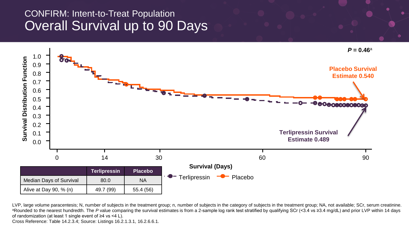#### CONFIRM: Intent-to-Treat Population Overall Survival up to 90 Days



LVP, large volume paracentesis; N, number of subjects in the treatment group; n, number of subjects in the category of subjects in the treatment group; NA, not available; SCr, serum creatinine. aRounded to the nearest hundredth. The P value comparing the survival estimates is from a 2-sample log rank test stratified by qualifying SCr (<3.4 vs ≥3.4 mg/dL) and prior LVP within 14 days of randomization (at least 1 single event of ≥4 vs <4 L).

Cross Reference: Table 14.2.3.4; Source: Listings 16.2.1.3.1, 16.2.6.6.1.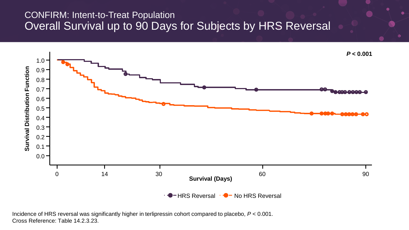#### CONFIRM: Intent-to-Treat Population Overall Survival up to 90 Days for Subjects by HRS Reversal



Incidence of HRS reversal was significantly higher in terlipressin cohort compared to placebo, *P* < 0.001. Cross Reference: Table 14.2.3.23.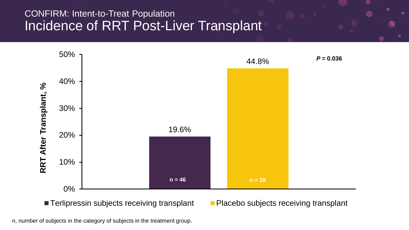#### CONFIRM: Intent-to-Treat Population Incidence of RRT Post-Liver Transplant



■ Terlipressin subjects receiving transplant Placebo subjects receiving transplant

n, number of subjects in the category of subjects in the treatment group.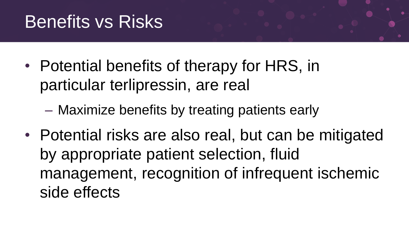## Benefits vs Risks

- Potential benefits of therapy for HRS, in particular terlipressin, are real
	- Maximize benefits by treating patients early
- Potential risks are also real, but can be mitigated by appropriate patient selection, fluid management, recognition of infrequent ischemic side effects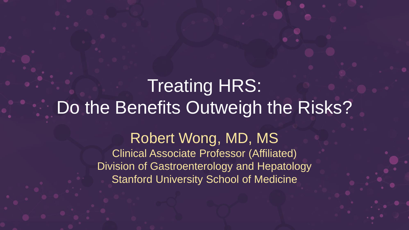## Treating HRS: Do the Benefits Outweigh the Risks?

Robert Wong, MD, MS Clinical Associate Professor (Affiliated) Division of Gastroenterology and Hepatology Stanford University School of Medicine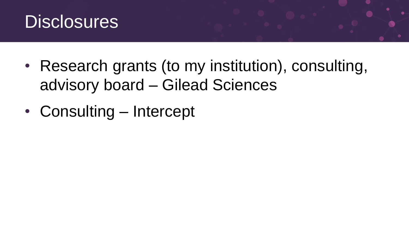

- Research grants (to my institution), consulting, advisory board – Gilead Sciences
- Consulting Intercept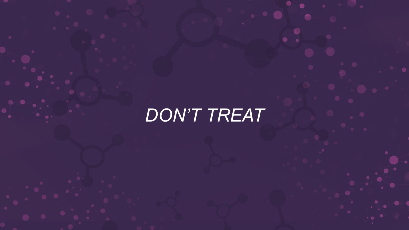## *DON'T TREAT*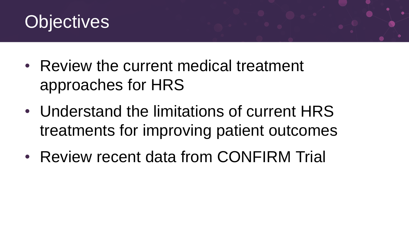

- Review the current medical treatment approaches for HRS
- Understand the limitations of current HRS treatments for improving patient outcomes
- Review recent data from CONFIRM Trial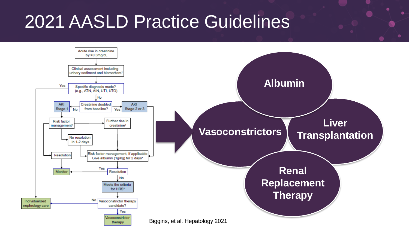## 2021 AASLD Practice Guidelines

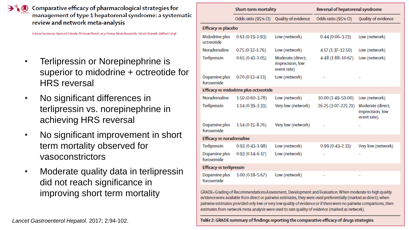Comparative efficacy of pharmacological strategies for management of type 1 hepatorenal syndrome: a systematic review and network meta-analysis

Antonio Facciorusso, Apoorva K Chandar, M Hassan Murad, Larry J Prokop, Nicola Muscatiello, Patrick S Kamath, Siddharth Singh

- Terlipressin or Norepinephrine is superior to midodrine + octreotide for HRS reversal
- No significant differences in terlipressin vs. norepinephrine in achieving HRS reversal
- No significant improvement in short term mortality observed for vasoconstrictors
- Moderate quality data in terlipressin did not reach significance in improving short term mortality

|                                  | Short-term mortality                  |                                                      | Reversal of hepatorenal syndrome |                                                      |  |  |  |
|----------------------------------|---------------------------------------|------------------------------------------------------|----------------------------------|------------------------------------------------------|--|--|--|
|                                  | Odds ratio (95% CI)                   | Quality of evidence                                  | Odds ratio (95% CI)              | Quality of evidence                                  |  |  |  |
| Efficacy vs placebo              |                                       |                                                      |                                  |                                                      |  |  |  |
| Midodrine plus<br>octreotide     | $0.61(0.19-1.93)$                     | Low (network)                                        | $0.44(0.06 - 3.23)$              | Low (network)                                        |  |  |  |
| Noradrenaline                    | $0.75(0.32 - 1.76)$                   | Low (network)                                        | 4-17 (1-37-12-50)                | Low (network)                                        |  |  |  |
| Terlipressin                     | $0.65(0.41 - 1.05)$                   | Moderate (direct;<br>imprecision, low<br>event rate) | 4-48 (1-88-10-67)                | Low (network)                                        |  |  |  |
| Dopamine plus<br>furosemide      | $0.70(0.12 - 4.13)$                   | Low (network)                                        | 44                               |                                                      |  |  |  |
|                                  | Efficacy vs midodrine plus octreotide |                                                      |                                  |                                                      |  |  |  |
| Noradrenaline                    | 1.50 (0.60-3.78)                      | Low (network)                                        | 10-00 (1-49-50-00)               | Low (network)                                        |  |  |  |
| <b>Terlipressin</b>              | 1.14 (0.39-3.33)                      | Very low (network)                                   | 26-25 (3-07-225-21)              | Moderate (direct;<br>imprecision, low<br>event rate) |  |  |  |
| Dopamine plus<br>furosemide      | $1.14(0.15 - 8.76)$                   | Very low (network)                                   |                                  | $\mathbf{r}$                                         |  |  |  |
| <b>Efficacy vs noradrenaline</b> |                                       |                                                      |                                  |                                                      |  |  |  |
| <b>Terlipressin</b>              | $0.93(0.43 - 1.98)$                   | Low (network)                                        | $0.99(0.43 - 2.33)$              | Very low (network)                                   |  |  |  |
| Dopamine plus<br>furosemide      | $0.93(0.14 - 6.17)$                   | Low (network)                                        | $\mathbf{r}$                     | $\ddot{\phantom{1}}$                                 |  |  |  |
| <b>Efficacy vs terlipressin</b>  |                                       |                                                      |                                  |                                                      |  |  |  |
| Dopamine plus<br>furosemide      | $1.00(0.18 - 5.67)$                   | Low (network)                                        |                                  | ×.                                                   |  |  |  |

GRADE=Grading of Recommendations Assessment, Development and Evaluation. When moderate to high quality evidence were available from direct or pairwise estimates, they were used preferentially (marked as direct); when pairwise estimates provided only low or very low quality of evidence or if there were no pairwise comparisons, then estimates from network meta-analysis were used to rate quality of evidence (marked as network).

Table 2: GRADE summary of findings reporting the comparative efficacy of drugs strategies

*Lancet Gastroenterol Hepatol*. 2017; 2:94-102.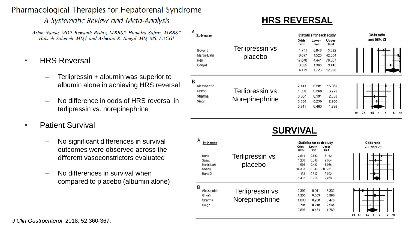#### Pharmacological Therapies for Hepatorenal Syndrome

A Systematic Review and Meta-Analysis

 $\lambda$ 

Arjun Nanda, MD,\* Rewanth Reddy, MBBS,\* Humaira Safraz, MBBS,\* Habeeb Salameh, MD, † and Ashwani K. Singal, MD, MS, FACG\*

- HRS Reversal
	- Terlipressin + albumin was superior to albumin alone in achieving HRS reversal
	- No difference in odds of HRS reversal in terlipressin vs. norepinephrine
- Patient Survival
	- No significant differences in survival outcomes were observed across the different vasoconstrictors evaluated
	- No differences in survival when compared to placebo (albumin alone)

#### **HRS REVERSAL**

| $\overline{ }$<br>Study name |              |                 | <b>Statistics for each study</b> |                |                |     | Odds ratio |            |  |                |   |    |
|------------------------------|--------------|-----------------|----------------------------------|----------------|----------------|-----|------------|------------|--|----------------|---|----|
|                              |              |                 | Odds<br>ratio                    | Lower<br>limit | Upper<br>limit |     |            | and 95% CI |  |                |   |    |
|                              | Boyer-2      | Terlipressin vs | 1.741                            | 0.846          | 3.582          |     |            |            |  |                |   |    |
|                              | Martin-Llahi | placebo         | 8.077                            | 1.523          | 42.834         |     |            |            |  |                |   |    |
|                              | Neri         |                 | 17,640                           | 4.441          | 70.067         |     |            |            |  |                |   |    |
|                              | Sanyal       |                 | 3.595                            | 1.368          | 9.445          |     |            |            |  |                |   |    |
|                              |              |                 | 4.719                            | 1.723          | 12.928         |     |            |            |  |                |   |    |
| B                            |              |                 |                                  |                |                |     |            |            |  |                |   |    |
|                              | Alessandria  |                 | 2.143                            | 0.281          | 16.369         |     |            |            |  |                |   |    |
|                              | Ghosh        | Terlipressin vs | 1.000                            | 0.268          | 3.729          |     |            |            |  |                |   |    |
|                              | Sharma       |                 | 0.667                            | 0.191          | 2.333          |     |            |            |  |                |   |    |
|                              | Singh        | Norepinephrine  | 0.836                            | 0.258          | 2.706          |     |            |            |  |                |   |    |
|                              |              |                 | 0.911                            | 0.463          | 1.792          |     |            |            |  |                |   |    |
|                              |              |                 |                                  |                |                | 0.1 | 0.2        | 0.5        |  | $\overline{2}$ | 5 | 10 |

#### **SURVIVAL**

| A<br>Study name |                 | <b>Statistics for each study</b> |                |                |     | Odds ratio |     |            |                     |    |
|-----------------|-----------------|----------------------------------|----------------|----------------|-----|------------|-----|------------|---------------------|----|
|                 |                 | Odds<br>ratio                    | Lower<br>limit | Upper<br>limit |     |            |     | and 95% CI |                     |    |
| Boyer           | Terlipressin vs | 2.544                            | 0.793          | 8.162          |     |            |     |            |                     |    |
| Sanyal          |                 | 1.250                            | 0.586          | 2.664          |     |            |     |            |                     |    |
| Martin-Llahi    | placebo         | 1.676                            | 0.403          | 6,966          |     |            |     |            |                     |    |
| Solanki         |                 | 18.333                           | 0.883          | 380.701        |     |            |     |            |                     |    |
| Bover-2         |                 | 1.138                            | 0.647          | 2.002          |     |            |     |            |                     |    |
|                 |                 | 1.432                            | 0.919          | 2.233          |     |            |     |            |                     |    |
| B               |                 |                                  |                |                |     |            |     |            |                     |    |
| Alessandria     | Terlipressin vs | 0.302                            | 0.011          | 8.332          |     |            |     |            |                     |    |
| Ghosh           |                 | 1.205                            | 0.363          | 3.998          |     |            |     |            |                     |    |
| Sharma          | Norepinephrine  | 1.000                            | 0.288          | 3.476          |     |            |     |            |                     |    |
| Singh           |                 | 0.701                            | 0.218          | 2.261          |     |            |     |            |                     |    |
|                 |                 | 0.896                            | 0.454          | 1.769          |     |            |     |            |                     |    |
|                 |                 |                                  |                |                | 0.1 | 0.2        | 0.5 |            | 5<br>$\overline{a}$ | 10 |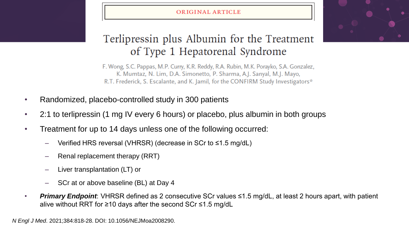#### ORIGINAL ARTICLE



#### Terlipressin plus Albumin for the Treatment of Type 1 Hepatorenal Syndrome

F. Wong, S.C. Pappas, M.P. Curry, K.R. Reddy, R.A. Rubin, M.K. Porayko, S.A. Gonzalez, K. Mumtaz, N. Lim, D.A. Simonetto, P. Sharma, A.J. Sanyal, M.J. Mayo, R.T. Frederick, S. Escalante, and K. Jamil, for the CONFIRM Study Investigators\*

- Randomized, placebo-controlled study in 300 patients
- 2:1 to terlipressin (1 mg IV every 6 hours) or placebo, plus albumin in both groups
- Treatment for up to 14 days unless one of the following occurred:
	- Verified HRS reversal (VHRSR) (decrease in SCr to ≤1.5 mg/dL)
	- Renal replacement therapy (RRT)
	- Liver transplantation (LT) or
	- SCr at or above baseline (BL) at Day 4
- *Primary Endpoint*: VHRSR defined as 2 consecutive SCr values ≤1.5 mg/dL, at least 2 hours apart, with patient alive without RRT for ≥10 days after the second SCr ≤1.5 mg/dL

*N Engl J Med*. 2021;384:818-28. DOI: 10.1056/NEJMoa2008290.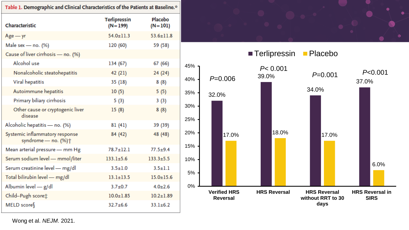|                                                                   | Table 1. Demographic and Clinical Characteristics of the Patients at Baseline.* |                             |            |  |  |  |
|-------------------------------------------------------------------|---------------------------------------------------------------------------------|-----------------------------|------------|--|--|--|
| Characteristic                                                    | <b>Terlipressin</b><br>$(N=199)$                                                | <b>Placebo</b><br>$(N=101)$ |            |  |  |  |
| $Age - yr$                                                        | $54.0 \pm 11.3$                                                                 | $53.6 \pm 11.8$             |            |  |  |  |
| Male sex - no. $(%)$                                              | 120 (60)                                                                        | 59 (58)                     |            |  |  |  |
| Cause of liver cirrhosis - no. (%)                                |                                                                                 |                             |            |  |  |  |
| Alcohol use                                                       | 134 (67)                                                                        | 67 (66)                     | 45%        |  |  |  |
| Nonalcoholic steatohepatitis                                      | 42 (21)                                                                         | 24 (24)                     |            |  |  |  |
| Viral hepatitis                                                   | 35 (18)                                                                         | 8(8)                        | 40%        |  |  |  |
| Autoimmune hepatitis                                              | 10(5)                                                                           | 5(5)                        | 35%        |  |  |  |
| Primary biliary cirrhosis                                         | 5(3)                                                                            | 3(3)                        |            |  |  |  |
| Other cause or cryptogenic liver<br>disease                       | 15(8)                                                                           | 8(8)                        | 30%<br>25% |  |  |  |
| Alcoholic hepatitis - no. (%)                                     | 81(41)                                                                          | 39 (39)                     |            |  |  |  |
| Systemic inflammatory response<br>syndrome - no. (%) <sup>+</sup> | 84 (42)                                                                         | 48 (48)                     | 20%        |  |  |  |
| Mean arterial pressure - mm Hg                                    | $78.7 + 12.1$                                                                   | $77.5 + 9.4$                | 15%        |  |  |  |
| Serum sodium level - mmol/liter                                   | $133.1 \pm 5.6$                                                                 | $133.3 \pm 5.5$             | 10%        |  |  |  |
| Serum creatinine level - mg/dl                                    | $3.5 + 1.0$                                                                     | $3.5 + 1.1$                 |            |  |  |  |
| Total bilirubin level - mg/dl                                     | $13.1 \pm 13.5$                                                                 | $15.0 + 15.6$               | 5%         |  |  |  |
| Albumin level - g/dl                                              | $3.7 + 0.7$                                                                     | $4.0 + 2.6$                 | $0\%$      |  |  |  |
| Child-Pugh score :                                                | $10.0 \pm 1.85$                                                                 | $10.2 + 1.89$               |            |  |  |  |
| MELD score                                                        | $32.7 + 6.6$                                                                    | $33.1 + 6.2$                |            |  |  |  |





Wong et al. *NEJM*. 2021.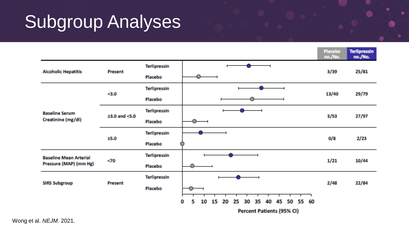## Subgroup Analyses

|                                                         |               |                                |                                                                       | Placebo<br>no./No. | <b>Terlipressin</b><br>no./No. |
|---------------------------------------------------------|---------------|--------------------------------|-----------------------------------------------------------------------|--------------------|--------------------------------|
| <b>Alcoholic Hepatitis</b>                              | Present       | <b>Terlipressin</b><br>Placebo |                                                                       | 3/39               | 25/81                          |
|                                                         | $3.0$         | <b>Terlipressin</b>            |                                                                       | 13/40              | 29/79                          |
| <b>Baseline Serum</b>                                   | ≥3.0 and <5.0 | Placebo<br><b>Terlipressin</b> |                                                                       | 3/53               | 27/97                          |
| Creatinine (mg/dl)                                      |               | Placebo<br><b>Terlipressin</b> |                                                                       |                    |                                |
|                                                         | 25.0          | Placebo                        |                                                                       | 0/8                | 2/23                           |
| <b>Baseline Mean Arterial</b><br>Pressure (MAP) (mm Hg) | $70$          | <b>Terlipressin</b><br>Placebo |                                                                       | 1/21               | 10/44                          |
| <b>SIRS Subgroup</b>                                    | Present       | <b>Terlipressin</b><br>Placebo |                                                                       | 2/48               | 22/84                          |
|                                                         |               |                                | 55 60<br>0<br>10<br>15<br>20<br>25<br>35<br>45<br>50<br>5<br>30<br>40 |                    |                                |
|                                                         |               |                                | Percent Patients (95% CI)                                             |                    |                                |

Wong et al. *NEJM*. 2021.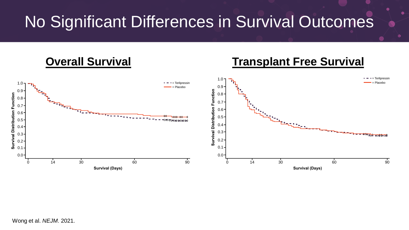### No Significant Differences in Survival Outcomes

#### **Overall Survival <b>Transplant Free Survival** 1.0  $= -$  Terlipressin 1.0 = Terlipressin Placebo 0.9 = Placebo 0.9 **Survival Distribution Function** 0.8 Survival Distribution Function 0.8 0.7 0.7 0.6 0.6 0.5 0.5 0.4  $0.4$ 0.3 0.3 0.2  $0.2 -$ 0.1 0.1 0.0 0.0  $\Omega$  $\Omega$ 14 30 60 90 14 30 60 90 **Survival (Days) Survival (Days)**

Wong et al. *NEJM*. 2021.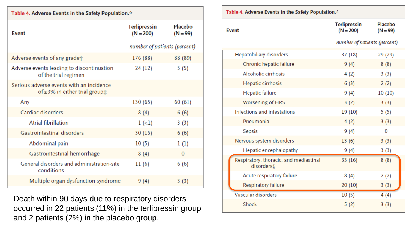| Table 4. Adverse Events in the Safety Population.*                                        |                                    |                              |  |  |  |  |  |
|-------------------------------------------------------------------------------------------|------------------------------------|------------------------------|--|--|--|--|--|
| <b>Event</b>                                                                              | <b>Terlipressin</b><br>$(N = 200)$ | <b>Placebo</b><br>$(N = 99)$ |  |  |  |  |  |
|                                                                                           | number of patients (percent)       |                              |  |  |  |  |  |
| Adverse events of any grade <sup>+</sup>                                                  | 176 (88)                           | 88 (89)                      |  |  |  |  |  |
| Adverse events leading to discontinuation<br>of the trial regimen                         | 24 (12)                            | 5(5)                         |  |  |  |  |  |
| Serious adverse events with an incidence<br>of $\geq$ 3% in either trial group $\ddot{x}$ |                                    |                              |  |  |  |  |  |
| Any                                                                                       | 130 (65)                           | 60 (61)                      |  |  |  |  |  |
| Cardiac disorders                                                                         | 8(4)                               | 6(6)                         |  |  |  |  |  |
| Atrial fibrillation                                                                       | $1(-1)$                            | 3(3)                         |  |  |  |  |  |
| Gastrointestinal disorders                                                                | 30(15)                             | 6(6)                         |  |  |  |  |  |
| Abdominal pain                                                                            | 10(5)                              | 1(1)                         |  |  |  |  |  |
| Gastrointestinal hemorrhage                                                               | 8(4)                               | $\mathbf{0}$                 |  |  |  |  |  |
| General disorders and administration-site<br>conditions                                   | 11(6)                              | 6(6)                         |  |  |  |  |  |
| Multiple organ dysfunction syndrome                                                       | 9(4)                               | 3(3)                         |  |  |  |  |  |

Death within 90 days due to respiratory disorders occurred in 22 patients (11%) in the terlipressin group and 2 patients (2%) in the placebo group.

| Table 4. Adverse Events in the Safety Population.*  |                                    |                              |  |  |  |
|-----------------------------------------------------|------------------------------------|------------------------------|--|--|--|
| <b>Event</b>                                        | <b>Terlipressin</b><br>$(N = 200)$ | <b>Placebo</b><br>$(N = 99)$ |  |  |  |
|                                                     | number of patients (percent)       |                              |  |  |  |
| Hepatobiliary disorders                             | 37 (18)                            | 29 (29)                      |  |  |  |
| Chronic hepatic failure                             | 9(4)                               | 8(8)                         |  |  |  |
| Alcoholic cirrhosis                                 | 4(2)                               | 3(3)                         |  |  |  |
| Hepatic cirrhosis                                   | 6(3)                               | 2(2)                         |  |  |  |
| <b>Hepatic failure</b>                              | 9(4)                               | 10(10)                       |  |  |  |
| <b>Worsening of HRS</b>                             | 3(2)                               | 3(3)                         |  |  |  |
| Infections and infestations                         | 19 (10)                            | 5(5)                         |  |  |  |
| Pneumonia                                           | 4(2)                               | 3(3)                         |  |  |  |
| <b>Sepsis</b>                                       | 9(4)                               | $\Omega$                     |  |  |  |
| Nervous system disorders                            | 13(6)                              | 3(3)                         |  |  |  |
| Hepatic encephalopathy                              | 9(4)                               | 3(3)                         |  |  |  |
| Respiratory, thoracic, and mediastinal<br>disorders | 33 (16)                            | 8(8)                         |  |  |  |
| Acute respiratory failure                           | 8(4)                               | 2(2)                         |  |  |  |
| Respiratory failure                                 | 20(10)                             | 3(3)                         |  |  |  |
| Vascular disorders                                  | 10(5)                              | 4(4)                         |  |  |  |
| Shock                                               | 5(2)                               | 3(3)                         |  |  |  |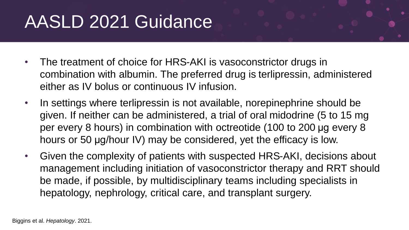# AASLD 2021 Guidance

- The treatment of choice for HRS-AKI is vasoconstrictor drugs in combination with albumin. The preferred drug is terlipressin, administered either as IV bolus or continuous IV infusion.
- In settings where terlipressin is not available, norepinephrine should be given. If neither can be administered, a trial of oral midodrine (5 to 15 mg per every 8 hours) in combination with octreotide (100 to 200 μg every 8 hours or 50 μg/hour IV) may be considered, yet the efficacy is low.
- Given the complexity of patients with suspected HRS-AKI, decisions about management including initiation of vasoconstrictor therapy and RRT should be made, if possible, by multidisciplinary teams including specialists in hepatology, nephrology, critical care, and transplant surgery.

Biggins et al. *Hepatology*. 2021.